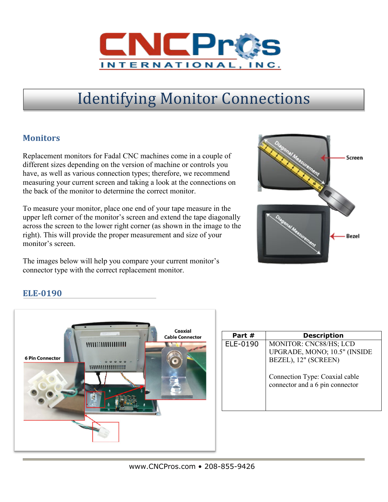

# Identifying Monitor Connections

### **Monitors**

Replacement monitors for Fadal CNC machines come in a couple of different sizes depending on the version of machine or controls you have, as well as various connection types; therefore, we recommend measuring your current screen and taking a look at the connections on the back of the monitor to determine the correct monitor.

To measure your monitor, place one end of your tape measure in the upper left corner of the monitor's screen and extend the tape diagonally across the screen to the lower right corner (as shown in the image to the right). This will provide the proper measurement and size of your monitor's screen.

The images below will help you compare your current monitor's connector type with the correct replacement monitor.



## **ELE-0190**



| Part #   | <b>Description</b>                                                                    |
|----------|---------------------------------------------------------------------------------------|
| ELE-0190 | <b>MONITOR: CNC88/HS; LCD</b><br>UPGRADE, MONO; 10.5" (INSIDE<br>BEZEL), 12" (SCREEN) |
|          | Connection Type: Coaxial cable<br>connector and a 6 pin connector                     |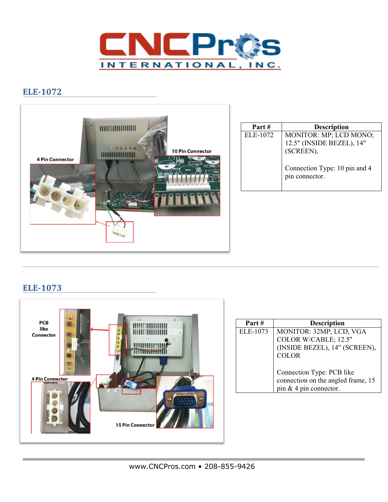

#### **ELE-1072**



## **ELE-1073**



| Part#    | <b>Description</b>                                                                          |
|----------|---------------------------------------------------------------------------------------------|
| ELE-1073 | MONITOR: 32MP; LCD, VGA                                                                     |
|          | COLOR W/CABLE; 12.5"                                                                        |
|          | (INSIDE BEZEL), 14" (SCREEN),                                                               |
|          | <b>COLOR</b>                                                                                |
|          | Connection Type: PCB like<br>connection on the angled frame, 15<br>pin $& 4$ pin connector. |